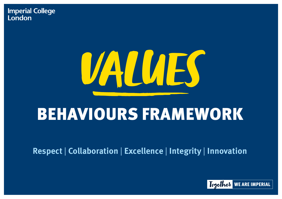### **Imperial College** London

# VALUES

## BEHAVIOURS FRAMEWORK



**Respect** | **Collaboration** | **Excellence** | **Integrity** | **Innovation**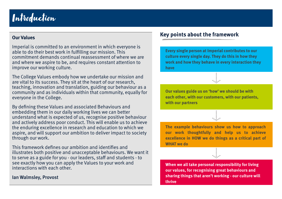## Introduction



 $\bullet \bullet \bullet \bullet \bullet \bullet \bullet$ 

• • • • • • • • ·•:•·

#### **Our Values**

 improve our working culture. Imperial is committed to an environment in which everyone is able to do their best work in fulflling our mission. This commitment demands continual reassessment of where we are and where we aspire to be, and requires constant attention to

everyone in the College. The College Values embody how we undertake our mission and are vital to its success. They sit at the heart of our research, teaching, innovation and translation, guiding our behaviour as a community and as individuals within that community, equally for

through our work. By defining these Values and associated Behaviours and embedding them in our daily working lives we can better understand what is expected of us, recognise positive behaviour and actively address poor conduct. This will enable us to achieve the enduring excellence in research and education to which we aspire, and will support our ambition to deliver impact to society

This framework defines our ambition and identifies and illustrates both positive and unacceptable behaviours. We want it to serve as a guide for you - our leaders, staff and students - to see exactly how you can apply the Values to your work and interactions with each other.

#### Ian Walmsley, Provost

#### **Key points about the framework**

**Every single person at Imperial contributes to our culture every single day. They do this in how they work and how they behave in every interaction they have**

**Our values guide us on 'how' we should be with each other, with our customers, with our patients, with our partners** 

**The example behaviours show us how to approach our work thoughtfully and help us to achieve excellence in HOW we do things as a critical part of WHAT we do** 

**When we all take personal responsibility for living our values, for recognising great behaviours and sharing things that aren't working - our culture will thrive**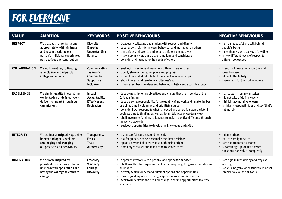## FOR EVERYONE

| <b>VALUE</b>         | <b>AMBITION</b>                                                                                                                                                 | <b>KEY WORDS</b>                                                                       | <b>POSITIVE BEHAVIOURS</b>                                                                                                                                                                                                                                                                                                                                                                                                                                                                                                                                            | <b>NEGATIVE B</b>                                                                                     |
|----------------------|-----------------------------------------------------------------------------------------------------------------------------------------------------------------|----------------------------------------------------------------------------------------|-----------------------------------------------------------------------------------------------------------------------------------------------------------------------------------------------------------------------------------------------------------------------------------------------------------------------------------------------------------------------------------------------------------------------------------------------------------------------------------------------------------------------------------------------------------------------|-------------------------------------------------------------------------------------------------------|
| <b>RESPECT</b>       | We treat each other fairly and<br>appropriately, with kindness<br>and respect, valuing each<br>person's individual experience,<br>perspectives and contribution | <b>Diversity</b><br><b>Empathy</b><br><b>Understanding</b><br><b>Balance</b>           | • I treat every colleague and student with respect and dignity<br>• I take responsibility for my own behaviour and my impact on others<br>• I am curious and seek to understand different perspectives<br>• I make sure my words and actions are kind and considerate<br>• I consider and respond to the needs of others                                                                                                                                                                                                                                              | • I am disrespect<br>people's backs<br>• I use 'them vs I<br>• I show differen<br>different collea    |
| <b>COLLABORATION</b> | We work together, cultivating<br>an inclusive and impactful<br>College community                                                                                | Communication<br><b>Teamwork</b><br>Community<br><b>Supportive</b><br><b>Inclusive</b> | • I seek out, listen to, and learn from different perspectives<br>• I openly share information, plans and progress<br>• I invest time and effort into building effective relationships<br>• I show interest and care for my colleague's work<br>• I provide feedback on ideas and behaviours, listen and act on feedback                                                                                                                                                                                                                                              | • I keep my know<br>ideas to myself<br>· I do not offer to<br>• I take credit for                     |
| <b>EXCELLENCE</b>    | We aim for quality in everything<br>we do, taking <b>pride</b> in our work,<br>delivering <b>impact</b> through our<br>commitment                               | Impact<br>Accountability<br><b>Effectiveness</b><br><b>Dedication</b>                  | • I take ownership for my objectives and ensure they are in service of the<br>College mission<br>• I take personal responsibility for the quality of my work and I make the best<br>use of my time by planning and prioritising tasks<br>• I consider how I respond to what is needed and where it is appropriate, I<br>dedicate time to thinking as well as doing, taking a longer-term view<br>• I challenge myself and my colleagues to make a positive difference through<br>the work that we do<br>. I seek out opportunities to develop my knowledge and skills | • I fail to learn fro<br>• I do not take pr<br>• I think I have n<br>• I shirk my resp<br>not my job' |
| <b>INTEGRITY</b>     | We act in a <b>principled</b> way, being<br>honest and open, checking,<br>challenging and changing<br>our practices and behaviours                              | <b>Transparency</b><br><b>Ethics</b><br><b>Trust</b><br>Authenticity                   | • I listen carefully and respond honestly<br>• I ask for guidance to help me make the right decisions<br>• I speak up when I observe that something isn't right<br>• I admit my mistakes and take action to resolve them                                                                                                                                                                                                                                                                                                                                              | • I blame others<br>• I fail to highligh<br>• I am not prepar<br>• I cover things u<br>questions hone |
| <b>INNOVATION</b>    | We become <b>inspired</b> by<br>possibilities, venturing into the<br>unknown with open minds and<br>having the courage to embrace<br>change                     | <b>Creativity</b><br><b>Visionary</b><br>Courage<br><b>Discovery</b>                   | • I approach my work with a positive and optimistic mindset<br>• I challenge the status quo and seek better ways of getting work done/having<br>an impact<br>• I actively search for new and different options and opportunities<br>• I look beyond my world, seeking inspiration from diverse sources<br>• I seek to understand the need for change, and find opportunities to create<br>solutions                                                                                                                                                                   | $\bullet$ 1 am rigid in my<br>working<br>· I adopt a negat<br>• I think I have a                      |

#### **NEGATIVE BEHAVIOURS**

- I am disrespectful and talk behind
- I use 'them vs us' as a way of dividing
- I show different levels of respect to different colleagues
- I keep my knowledge, expertise and
- I do not offer to help
- I take credit for the work of others
- **•** I fail to learn from my mistakes
- I do not take pride in my work
- I think I have nothing to learn
- **•** I shirk my responsibilities and say 'that's not my job'

- 
- **I fail to highlight issues**
- I am not prepared to change
- I cover things up, do not answer questions honestly or completely
- I am rigid in my thinking and ways of
- I adopt a negative or pessimistic mindset
- I think I have all the answers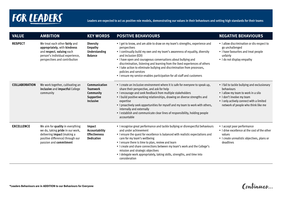## FOR LEADERS **Report of the set of the sexpected to act as positive role models, demonstrating our values in their behaviours and setting high standards for their teams <b>FOR**

| <b>VALUE</b>         | <b>AMBITION</b>                                                                                                                                                                 | <b>KEY WORDS</b>                                                                              | <b>POSITIVE BEHAVIOURS</b>                                                                                                                                                                                                                                                                                                                                                                                                                                                                                                        | <b>NEGATIVE BI</b>                                                                                                         |
|----------------------|---------------------------------------------------------------------------------------------------------------------------------------------------------------------------------|-----------------------------------------------------------------------------------------------|-----------------------------------------------------------------------------------------------------------------------------------------------------------------------------------------------------------------------------------------------------------------------------------------------------------------------------------------------------------------------------------------------------------------------------------------------------------------------------------------------------------------------------------|----------------------------------------------------------------------------------------------------------------------------|
| <b>RESPECT</b>       | We treat each other fairly and<br>appropriately, with kindness<br>and respect, valuing each<br>person's individual experience,<br>perspectives and contribution                 | <b>Diversity</b><br><b>Empathy</b><br><b>Understanding</b><br><b>Balance</b>                  | • I get to know, and am able to draw on my team's strengths, experience and<br>perspectives<br>• I continually build my own and my team's awareness of equality, diversity<br>and inclusion (EDI)<br>• I have open and courageous conversations about bullying and<br>discrimination, listening and learning from the lived experiences of others<br>• I take action to eliminate bullying and discrimination from processes,<br>policies and services<br>• I ensure my service enables participation for all staff and customers | • I allow discrimin<br>go unchallenged<br>• I have favourites<br>unfairly<br>• I do not display                            |
| <b>COLLABORATION</b> | We work together, cultivating an<br>inclusive and impactful College<br>community                                                                                                | <b>Communication</b><br><b>Teamwork</b><br>Community<br><b>Supportive</b><br><b>Inclusive</b> | • I create an inclusive environment where it is safe for everyone to speak up,<br>share their perspective, and ask for help<br>• I encourage and seek feedback from multiple stakeholders<br>• I build positive working relationships, drawing on diverse strengths and<br>expertise<br>• I proactively seek opportunities for myself and my team to work with others,<br>internally and externally<br>• I establish and communicate clear lines of responsibility, holding people<br>accountable                                 | • I fail to tackle bu<br>behaviours<br>• I allow my team<br>• I don't involve m<br>• I only actively co<br>network of peop |
| <b>EXCELLENCE</b>    | We aim for quality in everything<br>we do, taking <b>pride</b> in our work,<br>delivering <b>impact</b> (making a<br>positive difference) through our<br>passion and commitment | Impact<br>Accountability<br><b>Effectiveness</b><br><b>Dedication</b>                         | • I recognise great performance and tackle bullying or disrespectful behaviours<br>and under achievement<br>• I ensure the quest for excellence is balanced with realistic expectations and<br>care for my team's wellbeing<br>• I ensure there is time to plan, review and learn<br>. I create and share connections between my team's work and the College's<br>mission and strategic objectives<br>. I delegate work appropriately, taking skills, strengths, and time into<br>consideration                                   | • I accept poor per<br>• I drive excellence<br>values<br>• I create unrealist<br>deadlines                                 |

#### **NEGATIVE BEHAVIOURS**

- I allow discrimination or dis-respect to
- I have favourites and treat people
- I do not display empathy

- I fail to tackle bullying and exclusionary
- I allow my team to work in a silo
- I don't involve my team
- I only actively connect with a limited network of people who think like me
- 
- **EXCELLENCE I accept poor performance** 
	- I drive excellence at the cost of the other
	- I create unrealistic objectives, plans or